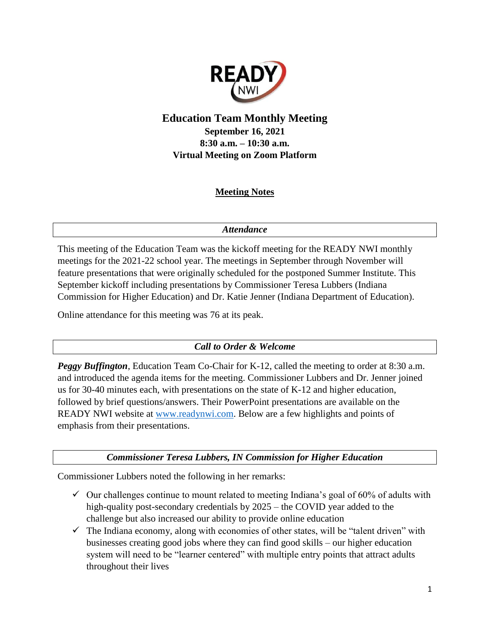

# **Education Team Monthly Meeting September 16, 2021 8:30 a.m. – 10:30 a.m. Virtual Meeting on Zoom Platform**

## **Meeting Notes**

### *Attendance*

This meeting of the Education Team was the kickoff meeting for the READY NWI monthly meetings for the 2021-22 school year. The meetings in September through November will feature presentations that were originally scheduled for the postponed Summer Institute. This September kickoff including presentations by Commissioner Teresa Lubbers (Indiana Commission for Higher Education) and Dr. Katie Jenner (Indiana Department of Education).

Online attendance for this meeting was 76 at its peak.

### *Call to Order & Welcome*

*Peggy Buffington*, Education Team Co-Chair for K-12, called the meeting to order at 8:30 a.m. and introduced the agenda items for the meeting. Commissioner Lubbers and Dr. Jenner joined us for 30-40 minutes each, with presentations on the state of K-12 and higher education, followed by brief questions/answers. Their PowerPoint presentations are available on the READY NWI website at [www.readynwi.com.](http://www.readynwi.com/) Below are a few highlights and points of emphasis from their presentations.

*Commissioner Teresa Lubbers, IN Commission for Higher Education*

Commissioner Lubbers noted the following in her remarks:

- $\checkmark$  Our challenges continue to mount related to meeting Indiana's goal of 60% of adults with high-quality post-secondary credentials by 2025 – the COVID year added to the challenge but also increased our ability to provide online education
- $\checkmark$  The Indiana economy, along with economies of other states, will be "talent driven" with businesses creating good jobs where they can find good skills – our higher education system will need to be "learner centered" with multiple entry points that attract adults throughout their lives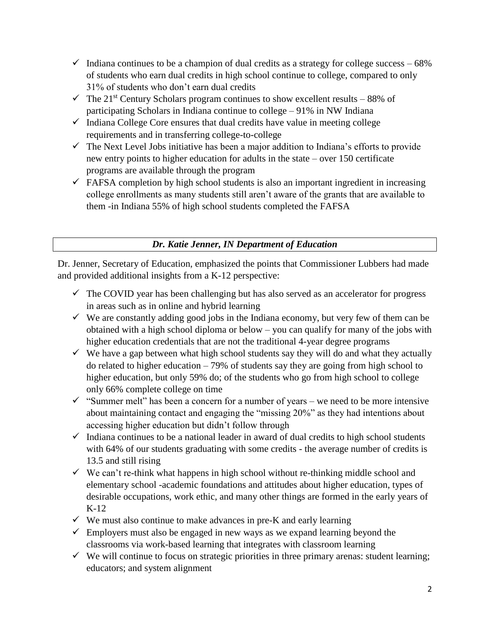- $\checkmark$  Indiana continues to be a champion of dual credits as a strategy for college success 68% of students who earn dual credits in high school continue to college, compared to only 31% of students who don't earn dual credits
- $\checkmark$  The 21<sup>st</sup> Century Scholars program continues to show excellent results 88% of participating Scholars in Indiana continue to college – 91% in NW Indiana
- $\checkmark$  Indiana College Core ensures that dual credits have value in meeting college requirements and in transferring college-to-college
- $\checkmark$  The Next Level Jobs initiative has been a major addition to Indiana's efforts to provide new entry points to higher education for adults in the state – over 150 certificate programs are available through the program
- $\checkmark$  FAFSA completion by high school students is also an important ingredient in increasing college enrollments as many students still aren't aware of the grants that are available to them -in Indiana 55% of high school students completed the FAFSA

## *Dr. Katie Jenner, IN Department of Education*

Dr. Jenner, Secretary of Education, emphasized the points that Commissioner Lubbers had made and provided additional insights from a K-12 perspective:

- $\checkmark$  The COVID year has been challenging but has also served as an accelerator for progress in areas such as in online and hybrid learning
- $\checkmark$  We are constantly adding good jobs in the Indiana economy, but very few of them can be obtained with a high school diploma or below – you can qualify for many of the jobs with higher education credentials that are not the traditional 4-year degree programs
- $\checkmark$  We have a gap between what high school students say they will do and what they actually do related to higher education – 79% of students say they are going from high school to higher education, but only 59% do; of the students who go from high school to college only 66% complete college on time
- $\checkmark$  "Summer melt" has been a concern for a number of years we need to be more intensive about maintaining contact and engaging the "missing 20%" as they had intentions about accessing higher education but didn't follow through
- $\checkmark$  Indiana continues to be a national leader in award of dual credits to high school students with 64% of our students graduating with some credits - the average number of credits is 13.5 and still rising
- $\checkmark$  We can't re-think what happens in high school without re-thinking middle school and elementary school -academic foundations and attitudes about higher education, types of desirable occupations, work ethic, and many other things are formed in the early years of K-12
- $\checkmark$  We must also continue to make advances in pre-K and early learning
- $\checkmark$  Employers must also be engaged in new ways as we expand learning beyond the classrooms via work-based learning that integrates with classroom learning
- $\checkmark$  We will continue to focus on strategic priorities in three primary arenas: student learning; educators; and system alignment